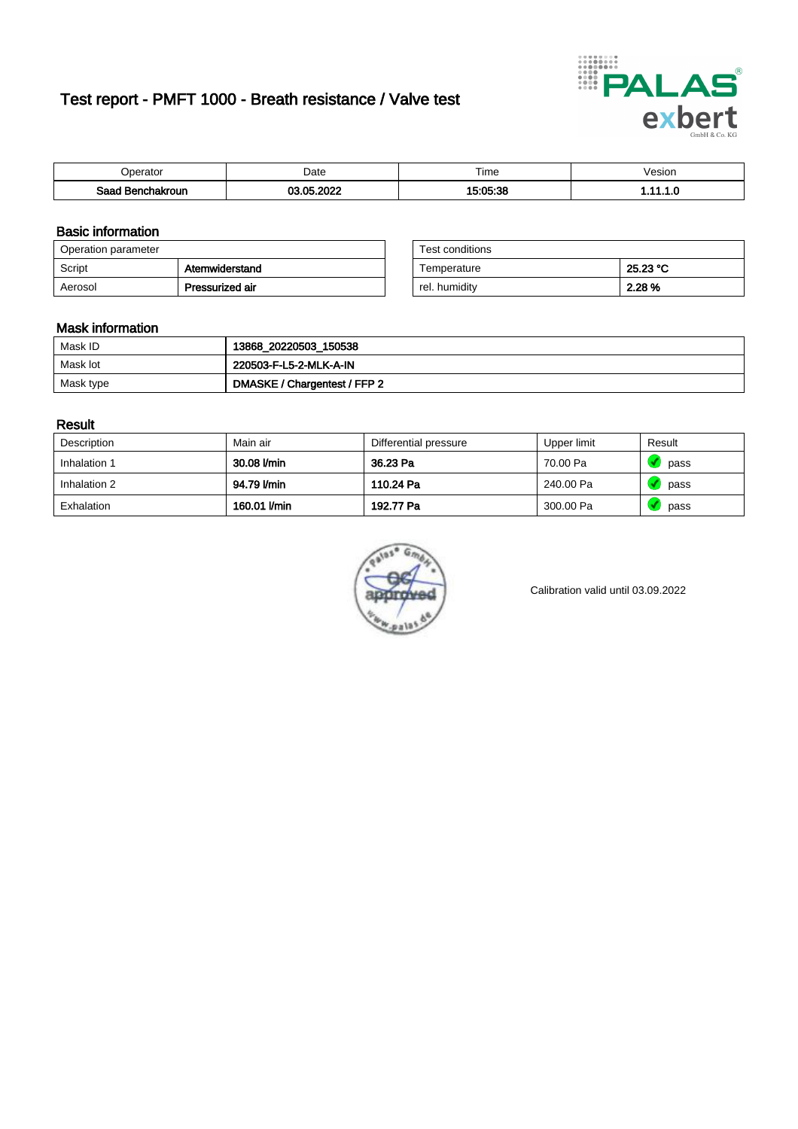# Test report - PMFT 1000 - Breath resistance / Valve test



| berator                      | Date             | $- \cdot$<br>ime     | /esion |
|------------------------------|------------------|----------------------|--------|
| Saad<br><b>chakroun</b><br>. | ാറാ<br>AC<br>.W. | $A$ E-OE-OE<br>-- 25 | .      |

### Basic information

| Operation parameter |                 | Test conditions |          |
|---------------------|-----------------|-----------------|----------|
| Script              | Atemwiderstand  | Temperature     | 25.23 °C |
| Aerosol             | Pressurized air | rel. humidity   | 2.28 %   |

| Test conditions |          |
|-----------------|----------|
| Temperature     | 25.23 °C |
| rel. humidity   | 2.28%    |

### Mask information

| Mask ID   | 13868_20220503_150538        |
|-----------|------------------------------|
| Mask lot  | 220503-F-L5-2-MLK-A-IN       |
| Mask type | DMASKE / Chargentest / FFP 2 |

### Result

| Description  | Main air     | Differential pressure | Upper limit | Result |
|--------------|--------------|-----------------------|-------------|--------|
| Inhalation 1 | 30.08 l/min  | 36.23 Pa              | 70.00 Pa    | pass   |
| Inhalation 2 | 94.79 I/min  | 110.24 Pa             | 240.00 Pa   | pass   |
| Exhalation   | 160.01 l/min | 192.77 Pa             | 300.00 Pa   | pass   |



Calibration valid until 03.09.2022